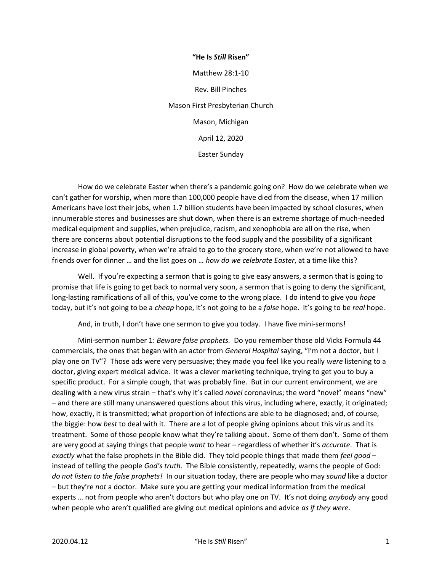"He Is Still Risen" Matthew 28:1-10 Rev. Bill Pinches Mason First Presbyterian Church Mason, Michigan April 12, 2020 Easter Sunday

 How do we celebrate Easter when there's a pandemic going on? How do we celebrate when we can't gather for worship, when more than 100,000 people have died from the disease, when 17 million Americans have lost their jobs, when 1.7 billion students have been impacted by school closures, when innumerable stores and businesses are shut down, when there is an extreme shortage of much-needed medical equipment and supplies, when prejudice, racism, and xenophobia are all on the rise, when there are concerns about potential disruptions to the food supply and the possibility of a significant increase in global poverty, when we're afraid to go to the grocery store, when we're not allowed to have friends over for dinner ... and the list goes on ... how do we celebrate Easter, at a time like this?

 Well. If you're expecting a sermon that is going to give easy answers, a sermon that is going to promise that life is going to get back to normal very soon, a sermon that is going to deny the significant, long-lasting ramifications of all of this, you've come to the wrong place. I do intend to give you hope today, but it's not going to be a cheap hope, it's not going to be a false hope. It's going to be real hope.

And, in truth, I don't have one sermon to give you today. I have five mini-sermons!

Mini-sermon number 1: Beware false prophets. Do you remember those old Vicks Formula 44 commercials, the ones that began with an actor from General Hospital saying, "I'm not a doctor, but I play one on TV"? Those ads were very persuasive; they made you feel like you really were listening to a doctor, giving expert medical advice. It was a clever marketing technique, trying to get you to buy a specific product. For a simple cough, that was probably fine. But in our current environment, we are dealing with a new virus strain – that's why it's called novel coronavirus; the word "novel" means "new" – and there are still many unanswered questions about this virus, including where, exactly, it originated; how, exactly, it is transmitted; what proportion of infections are able to be diagnosed; and, of course, the biggie: how best to deal with it. There are a lot of people giving opinions about this virus and its treatment. Some of those people know what they're talking about. Some of them don't. Some of them are very good at saying things that people want to hear – regardless of whether it's accurate. That is exactly what the false prophets in the Bible did. They told people things that made them feel good  $$ instead of telling the people God's truth. The Bible consistently, repeatedly, warns the people of God: do not listen to the false prophets! In our situation today, there are people who may sound like a doctor – but they're not a doctor. Make sure you are getting your medical information from the medical experts ... not from people who aren't doctors but who play one on TV. It's not doing *anybody* any good when people who aren't qualified are giving out medical opinions and advice as if they were.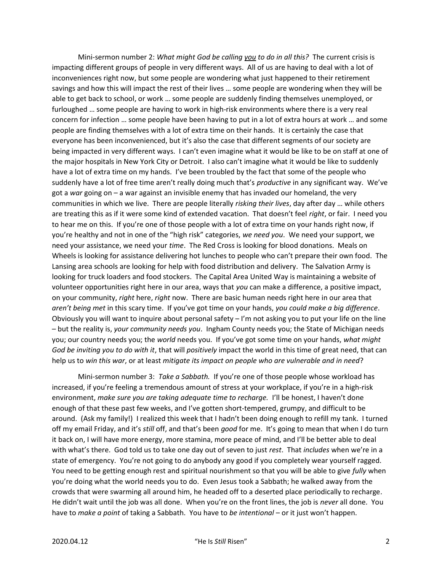Mini-sermon number 2: What might God be calling you to do in all this? The current crisis is impacting different groups of people in very different ways. All of us are having to deal with a lot of inconveniences right now, but some people are wondering what just happened to their retirement savings and how this will impact the rest of their lives … some people are wondering when they will be able to get back to school, or work … some people are suddenly finding themselves unemployed, or furloughed … some people are having to work in high-risk environments where there is a very real concern for infection … some people have been having to put in a lot of extra hours at work … and some people are finding themselves with a lot of extra time on their hands. It is certainly the case that everyone has been inconvenienced, but it's also the case that different segments of our society are being impacted in very different ways. I can't even imagine what it would be like to be on staff at one of the major hospitals in New York City or Detroit. I also can't imagine what it would be like to suddenly have a lot of extra time on my hands. I've been troubled by the fact that some of the people who suddenly have a lot of free time aren't really doing much that's *productive* in any significant way. We've got a war going on  $-$  a war against an invisible enemy that has invaded our homeland, the very communities in which we live. There are people literally risking their lives, day after day … while others are treating this as if it were some kind of extended vacation. That doesn't feel right, or fair. I need you to hear me on this. If you're one of those people with a lot of extra time on your hands right now, if you're healthy and not in one of the "high risk" categories, we need you. We need your support, we need your assistance, we need your time. The Red Cross is looking for blood donations. Meals on Wheels is looking for assistance delivering hot lunches to people who can't prepare their own food. The Lansing area schools are looking for help with food distribution and delivery. The Salvation Army is looking for truck loaders and food stockers. The Capital Area United Way is maintaining a website of volunteer opportunities right here in our area, ways that you can make a difference, a positive impact, on your community, right here, right now. There are basic human needs right here in our area that aren't being met in this scary time. If you've got time on your hands, you could make a big difference. Obviously you will want to inquire about personal safety – I'm not asking you to put your life on the line – but the reality is, your community needs you. Ingham County needs you; the State of Michigan needs you; our country needs you; the world needs you. If you've got some time on your hands, what might God be inviting you to do with it, that will positively impact the world in this time of great need, that can help us to win this war, or at least mitigate its impact on people who are vulnerable and in need?

Mini-sermon number 3: Take a Sabbath. If you're one of those people whose workload has increased, if you're feeling a tremendous amount of stress at your workplace, if you're in a high-risk environment, make sure you are taking adequate time to recharge. I'll be honest, I haven't done enough of that these past few weeks, and I've gotten short-tempered, grumpy, and difficult to be around. (Ask my family!) I realized this week that I hadn't been doing enough to refill my tank. I turned off my email Friday, and it's still off, and that's been good for me. It's going to mean that when I do turn it back on, I will have more energy, more stamina, more peace of mind, and I'll be better able to deal with what's there. God told us to take one day out of seven to just rest. That includes when we're in a state of emergency. You're not going to do anybody any good if you completely wear yourself ragged. You need to be getting enough rest and spiritual nourishment so that you will be able to give fully when you're doing what the world needs you to do. Even Jesus took a Sabbath; he walked away from the crowds that were swarming all around him, he headed off to a deserted place periodically to recharge. He didn't wait until the job was all done. When you're on the front lines, the job is never all done. You have to make a point of taking a Sabbath. You have to be intentional – or it just won't happen.